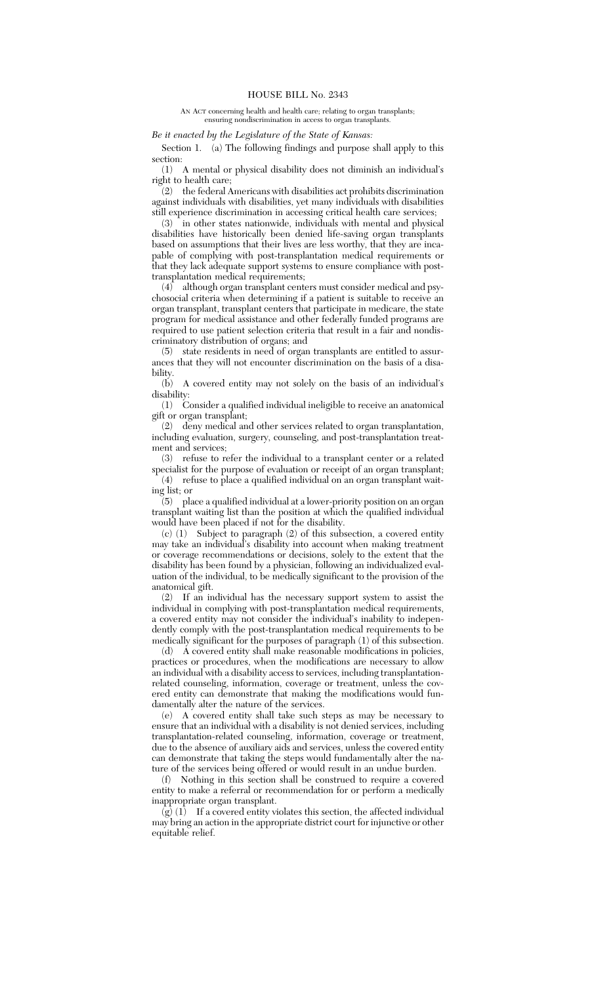AN ACT concerning health and health care; relating to organ transplants; ensuring nondiscrimination in access to organ transplants.

*Be it enacted by the Legislature of the State of Kansas:*

Section 1. (a) The following findings and purpose shall apply to this section:

(1) A mental or physical disability does not diminish an individual's right to health care;

 $(2)$  the federal Americans with disabilities act prohibits discrimination against individuals with disabilities, yet many individuals with disabilities still experience discrimination in accessing critical health care services;

 $(3)$  in other states nationwide, individuals with mental and physical disabilities have historically been denied life-saving organ transplants based on assumptions that their lives are less worthy, that they are incapable of complying with post-transplantation medical requirements or that they lack adequate support systems to ensure compliance with posttransplantation medical requirements;

 $(4)$  although organ transplant centers must consider medical and psychosocial criteria when determining if a patient is suitable to receive an organ transplant, transplant centers that participate in medicare, the state program for medical assistance and other federally funded programs are required to use patient selection criteria that result in a fair and nondiscriminatory distribution of organs; and

(5) state residents in need of organ transplants are entitled to assurances that they will not encounter discrimination on the basis of a disability.<br>(b)

A covered entity may not solely on the basis of an individual's disability:

(1) Consider a qualified individual ineligible to receive an anatomical gift or organ transplant;

(2) deny medical and other services related to organ transplantation, including evaluation, surgery, counseling, and post-transplantation treatment and services;

(3) refuse to refer the individual to a transplant center or a related specialist for the purpose of evaluation or receipt of an organ transplant;

(4) refuse to place a qualified individual on an organ transplant waiting list; or

(5) place a qualified individual at a lower-priority position on an organ transplant waiting list than the position at which the qualified individual would have been placed if not for the disability.

(c) (1) Subject to paragraph (2) of this subsection, a covered entity may take an individual's disability into account when making treatment or coverage recommendations or decisions, solely to the extent that the disability has been found by a physician, following an individualized evaluation of the individual, to be medically significant to the provision of the anatomical gift.

(2) If an individual has the necessary support system to assist the individual in complying with post-transplantation medical requirements, a covered entity may not consider the individual's inability to independently comply with the post-transplantation medical requirements to be medically significant for the purposes of paragraph (1) of this subsection.

(d) A covered entity shall make reasonable modifications in policies, practices or procedures, when the modifications are necessary to allow an individual with a disability access to services, including transplantationrelated counseling, information, coverage or treatment, unless the covered entity can demonstrate that making the modifications would fundamentally alter the nature of the services.

(e) A covered entity shall take such steps as may be necessary to ensure that an individual with a disability is not denied services, including transplantation-related counseling, information, coverage or treatment, due to the absence of auxiliary aids and services, unless the covered entity can demonstrate that taking the steps would fundamentally alter the nature of the services being offered or would result in an undue burden.

(f) Nothing in this section shall be construed to require a covered entity to make a referral or recommendation for or perform a medically inappropriate organ transplant.

 $\overline{g}(q)$  (1) If a covered entity violates this section, the affected individual may bring an action in the appropriate district court for injunctive or other equitable relief.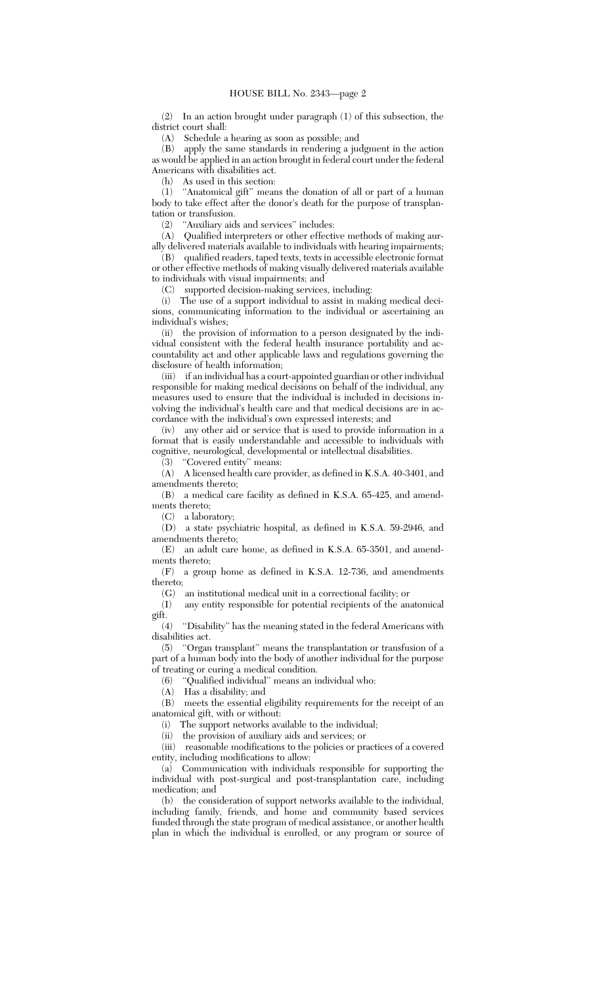(2) In an action brought under paragraph (1) of this subsection, the district court shall:

(A) Schedule a hearing as soon as possible; and

(B) apply the same standards in rendering a judgment in the action as would be applied in an action brought in federal court under the federal Americans with disabilities act.

(h) As used in this section:

(1) ''Anatomical gift'' means the donation of all or part of a human body to take effect after the donor's death for the purpose of transplantation or transfusion.

(2) ''Auxiliary aids and services'' includes:

(A) Qualified interpreters or other effective methods of making aurally delivered materials available to individuals with hearing impairments;

(B) qualified readers, taped texts, texts in accessible electronic format or other effective methods of making visually delivered materials available

to individuals with visual impairments; and

(C) supported decision-making services, including:

(i) The use of a support individual to assist in making medical decisions, communicating information to the individual or ascertaining an individual's wishes;

(ii) the provision of information to a person designated by the individual consistent with the federal health insurance portability and accountability act and other applicable laws and regulations governing the disclosure of health information;

(iii) if an individual has a court-appointed guardian or other individual responsible for making medical decisions on behalf of the individual, any measures used to ensure that the individual is included in decisions involving the individual's health care and that medical decisions are in accordance with the individual's own expressed interests; and

(iv) any other aid or service that is used to provide information in a format that is easily understandable and accessible to individuals with cognitive, neurological, developmental or intellectual disabilities.

(3) ''Covered entity'' means:

(A) A licensed health care provider, as defined in K.S.A. 40-3401, and amendments thereto;

(B) a medical care facility as defined in K.S.A. 65-425, and amendments thereto;

(C) a laboratory;

(D) a state psychiatric hospital, as defined in K.S.A. 59-2946, and amendments thereto;

(E) an adult care home, as defined in K.S.A. 65-3501, and amendments thereto;

(F) a group home as defined in K.S.A. 12-736, and amendments thereto;

(G) an institutional medical unit in a correctional facility; or

(I) any entity responsible for potential recipients of the anatomical gift.

(4) ''Disability'' has the meaning stated in the federal Americans with disabilities act.

(5) ''Organ transplant'' means the transplantation or transfusion of a part of a human body into the body of another individual for the purpose of treating or curing a medical condition.

(6) ''Qualified individual'' means an individual who:

(A) Has a disability; and

(B) meets the essential eligibility requirements for the receipt of an anatomical gift, with or without:

(i) The support networks available to the individual;

(ii) the provision of auxiliary aids and services; or

(iii) reasonable modifications to the policies or practices of a covered entity, including modifications to allow:

(a) Communication with individuals responsible for supporting the individual with post-surgical and post-transplantation care, including medication; and

(b) the consideration of support networks available to the individual, including family, friends, and home and community based services funded through the state program of medical assistance, or another health plan in which the individual is enrolled, or any program or source of